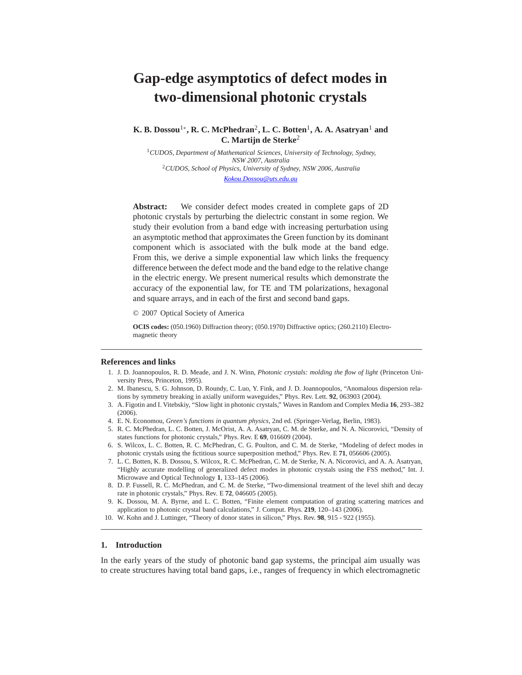# **Gap-edge asymptotics of defect modes in two-dimensional photonic crystals**

**K. B. Dossou**1∗**, R. C. McPhedran**2**, L. C. Botten**1**, A. A. Asatryan**<sup>1</sup> **and C. Martijn de Sterke**<sup>2</sup>

<sup>1</sup>*CUDOS, Department of Mathematical Sciences, University of Technology, Sydney, NSW 2007, Australia* <sup>2</sup>*CUDOS, School of Physics, University of Sydney, NSW 2006, Australia Kokou.Dossou@uts.edu.au*

**Abstract:** We consider defect modes created in complete gaps of 2D photonic crystals by perturbing the dielectric constant in some region. We study their evolution from a band edge with increasing perturbation using an asymptotic method that approximates the Green function by its dominant component which is associated with the bulk mode at the band edge. From this, we derive a simple exponential law which links the frequency difference between the defect mode and the band edge to the relative change in the electric energy. We present numerical results which demonstrate the accuracy of the exponential law, for TE and TM polarizations, hexagonal and square arrays, and in each of the first and second band gaps.

© 2007 Optical Society of America

**OCIS codes:** (050.1960) Diffraction theory; (050.1970) Diffractive optics; (260.2110) Electromagnetic theory

#### **References and links**

- 1. J. D. Joannopoulos, R. D. Meade, and J. N. Winn, *Photonic crystals: molding the flow of light* (Princeton University Press, Princeton, 1995).
- 2. M. Ibanescu, S. G. Johnson, D. Roundy, C. Luo, Y. Fink, and J. D. Joannopoulos, "Anomalous dispersion relations by symmetry breaking in axially uniform waveguides," Phys. Rev. Lett. **92**, 063903 (2004).
- 3. A. Figotin and I. Vitebskiy, "Slow light in photonic crystals," Waves in Random and Complex Media **16**, 293–382 (2006).
- 4. E. N. Economou, *Green's functions in quantum physics*, 2nd ed. (Springer-Verlag, Berlin, 1983).
- 5. R. C. McPhedran, L. C. Botten, J. McOrist, A. A. Asatryan, C. M. de Sterke, and N. A. Nicorovici, "Density of states functions for photonic crystals," Phys. Rev. E **69**, 016609 (2004).
- 6. S. Wilcox, L. C. Botten, R. C. McPhedran, C. G. Poulton, and C. M. de Sterke, "Modeling of defect modes in photonic crystals using the fictitious source superposition method," Phys. Rev. E **71**, 056606 (2005).
- 7. L. C. Botten, K. B. Dossou, S. Wilcox, R. C. McPhedran, C. M. de Sterke, N. A. Nicorovici, and A. A. Asatryan, "Highly accurate modelling of generalized defect modes in photonic crystals using the FSS method," Int. J. Microwave and Optical Technology **1**, 133–145 (2006).
- 8. D. P. Fussell, R. C. McPhedran, and C. M. de Sterke, "Two-dimensional treatment of the level shift and decay rate in photonic crystals," Phys. Rev. E **72**, 046605 (2005).
- 9. K. Dossou, M. A. Byrne, and L. C. Botten, "Finite element computation of grating scattering matrices and application to photonic crystal band calculations," J. Comput. Phys. **219**, 120–143 (2006).
- 10. W. Kohn and J. Luttinger, "Theory of donor states in silicon," Phys. Rev. **98**, 915 922 (1955).

# **1. Introduction**

In the early years of the study of photonic band gap systems, the principal aim usually was to create structures having total band gaps, i.e., ranges of frequency in which electromagnetic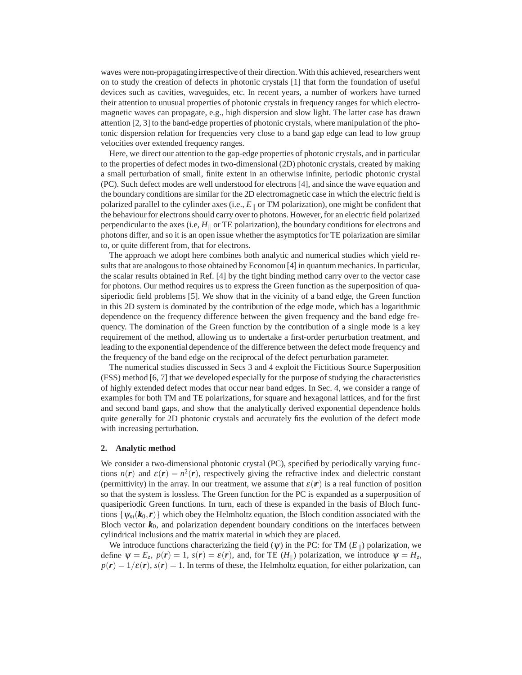waves were non-propagating irrespective of their direction. With this achieved, researchers went on to study the creation of defects in photonic crystals [1] that form the foundation of useful devices such as cavities, waveguides, etc. In recent years, a number of workers have turned their attention to unusual properties of photonic crystals in frequency ranges for which electromagnetic waves can propagate, e.g., high dispersion and slow light. The latter case has drawn attention [2, 3] to the band-edge properties of photonic crystals, where manipulation of the photonic dispersion relation for frequencies very close to a band gap edge can lead to low group velocities over extended frequency ranges.

Here, we direct our attention to the gap-edge properties of photonic crystals, and in particular to the properties of defect modes in two-dimensional (2D) photonic crystals, created by making a small perturbation of small, finite extent in an otherwise infinite, periodic photonic crystal (PC). Such defect modes are well understood for electrons [4], and since the wave equation and the boundary conditions are similar for the 2D electromagnetic case in which the electric field is polarized parallel to the cylinder axes (i.e.,  $E_{\parallel}$  or TM polarization), one might be confident that the behaviour for electrons should carry over to photons. However, for an electric field polarized perpendicular to the axes (i.e,  $H_{\parallel}$  or TE polarization), the boundary conditions for electrons and photons differ, and so it is an open issue whether the asymptotics for TE polarization are similar to, or quite different from, that for electrons.

The approach we adopt here combines both analytic and numerical studies which yield results that are analogous to those obtained by Economou [4] in quantum mechanics. In particular, the scalar results obtained in Ref. [4] by the tight binding method carry over to the vector case for photons. Our method requires us to express the Green function as the superposition of quasiperiodic field problems [5]. We show that in the vicinity of a band edge, the Green function in this 2D system is dominated by the contribution of the edge mode, which has a logarithmic dependence on the frequency difference between the given frequency and the band edge frequency. The domination of the Green function by the contribution of a single mode is a key requirement of the method, allowing us to undertake a first-order perturbation treatment, and leading to the exponential dependence of the difference between the defect mode frequency and the frequency of the band edge on the reciprocal of the defect perturbation parameter.

The numerical studies discussed in Secs 3 and 4 exploit the Fictitious Source Superposition (FSS) method [6, 7] that we developed especially for the purpose of studying the characteristics of highly extended defect modes that occur near band edges. In Sec. 4, we consider a range of examples for both TM and TE polarizations, for square and hexagonal lattices, and for the first and second band gaps, and show that the analytically derived exponential dependence holds quite generally for 2D photonic crystals and accurately fits the evolution of the defect mode with increasing perturbation.

### **2. Analytic method**

We consider a two-dimensional photonic crystal (PC), specified by periodically varying functions  $n(r)$  and  $\varepsilon(r) = n^2(r)$ , respectively giving the refractive index and dielectric constant (permittivity) in the array. In our treatment, we assume that  $\varepsilon(r)$  is a real function of position so that the system is lossless. The Green function for the PC is expanded as a superposition of quasiperiodic Green functions. In turn, each of these is expanded in the basis of Bloch functions  $\{\psi_m(\mathbf{k}_0, \mathbf{r})\}$  which obey the Helmholtz equation, the Bloch condition associated with the Bloch vector  $k_0$ , and polarization dependent boundary conditions on the interfaces between cylindrical inclusions and the matrix material in which they are placed.

We introduce functions characterizing the field  $(\psi)$  in the PC: for TM  $(E_{\parallel})$  polarization, we define  $\psi = E_z$ ,  $p(\mathbf{r}) = 1$ ,  $s(\mathbf{r}) = \varepsilon(\mathbf{r})$ , and, for TE  $(H_{\parallel})$  polarization, we introduce  $\psi = H_z$ ,  $p(\mathbf{r}) = 1/\varepsilon(\mathbf{r})$ ,  $s(\mathbf{r}) = 1$ . In terms of these, the Helmholtz equation, for either polarization, can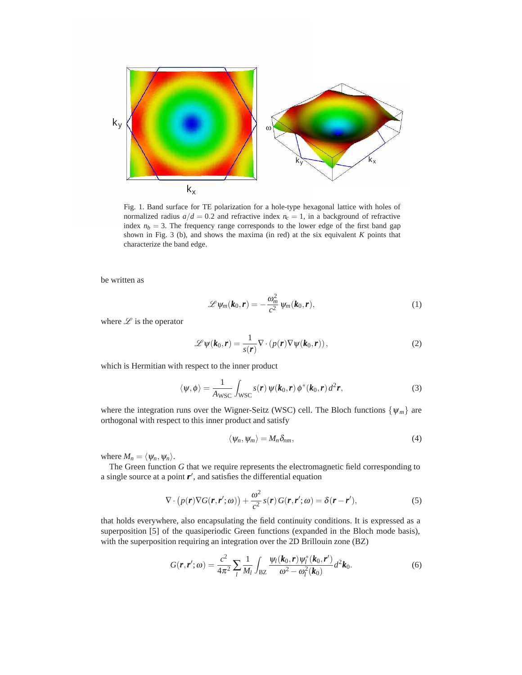

Fig. 1. Band surface for TE polarization for a hole-type hexagonal lattice with holes of normalized radius  $a/d = 0.2$  and refractive index  $n_c = 1$ , in a background of refractive index  $n_b = 3$ . The frequency range corresponds to the lower edge of the first band gap shown in Fig. 3 (b), and shows the maxima (in red) at the six equivalent *K* points that characterize the band edge.

be written as

$$
\mathscr{L}\psi_m(\boldsymbol{k}_0,\boldsymbol{r})=-\frac{\omega_m^2}{c^2}\psi_m(\boldsymbol{k}_0,\boldsymbol{r}),
$$
\n(1)

where  $\mathscr L$  is the operator

$$
\mathscr{L}\psi(\mathbf{k}_0,\mathbf{r})=\frac{1}{s(\mathbf{r})}\nabla\cdot(p(\mathbf{r})\nabla\psi(\mathbf{k}_0,\mathbf{r})),
$$
\n(2)

which is Hermitian with respect to the inner product

$$
\langle \psi, \phi \rangle = \frac{1}{A_{\text{WSC}}} \int_{\text{WSC}} s(\mathbf{r}) \, \psi(\mathbf{k}_0, \mathbf{r}) \, \phi^*(\mathbf{k}_0, \mathbf{r}) \, d^2 \mathbf{r}, \tag{3}
$$

where the integration runs over the Wigner-Seitz (WSC) cell. The Bloch functions  $\{\psi_m\}$  are orthogonal with respect to this inner product and satisfy

$$
\langle \psi_n, \psi_m \rangle = M_n \delta_{nm}, \qquad (4)
$$

where  $M_n = \langle \psi_n, \psi_n \rangle$ .

The Green function *G* that we require represents the electromagnetic field corresponding to a single source at a point  $r'$ , and satisfies the differential equation

$$
\nabla \cdot (p(\mathbf{r}) \nabla G(\mathbf{r}, \mathbf{r}'; \omega)) + \frac{\omega^2}{c^2} s(\mathbf{r}) G(\mathbf{r}, \mathbf{r}'; \omega) = \delta(\mathbf{r} - \mathbf{r}'),
$$
\n(5)

that holds everywhere, also encapsulating the field continuity conditions. It is expressed as a superposition [5] of the quasiperiodic Green functions (expanded in the Bloch mode basis), with the superposition requiring an integration over the 2D Brillouin zone (BZ)

$$
G(\mathbf{r}, \mathbf{r}'; \omega) = \frac{c^2}{4\pi^2} \sum_{l} \frac{1}{M_l} \int_{\text{BZ}} \frac{\psi_l(\mathbf{k}_0, \mathbf{r}) \psi_l^*(\mathbf{k}_0, \mathbf{r}')} {\omega^2 - \omega_l^2(\mathbf{k}_0)} d^2 \mathbf{k}_0.
$$
 (6)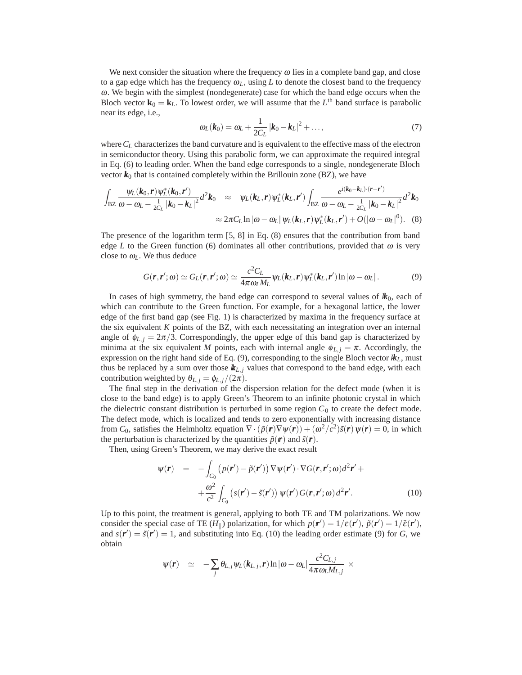We next consider the situation where the frequency  $\omega$  lies in a complete band gap, and close to a gap edge which has the frequency  $\omega_L$ , using L to denote the closest band to the frequency <sup>ω</sup>. We begin with the simplest (nondegenerate) case for which the band edge occurs when the Bloch vector  $\mathbf{k}_0 = \mathbf{k}_L$ . To lowest order, we will assume that the  $L^{\text{th}}$  band surface is parabolic near its edge, i.e.,

$$
\omega_L(\mathbf{k}_0) = \omega_L + \frac{1}{2C_L} |\mathbf{k}_0 - \mathbf{k}_L|^2 + ..., \qquad (7)
$$

where*CL* characterizes the band curvature and is equivalent to the effective mass of the electron in semiconductor theory. Using this parabolic form, we can approximate the required integral in Eq. (6) to leading order. When the band edge corresponds to a single, nondegenerate Bloch vector  $k_0$  that is contained completely within the Brillouin zone (BZ), we have

$$
\int_{\text{BZ}} \frac{\psi_L(\boldsymbol{k}_0, \boldsymbol{r}) \psi_L^*(\boldsymbol{k}_0, \boldsymbol{r}^\prime)}{\omega - \omega_L - \frac{1}{2C_L} |\boldsymbol{k}_0 - \boldsymbol{k}_L|^2} d^2 \boldsymbol{k}_0 \approx \psi_L(\boldsymbol{k}_L, \boldsymbol{r}) \psi_L^*(\boldsymbol{k}_L, \boldsymbol{r}^\prime) \int_{\text{BZ}} \frac{e^{i(\boldsymbol{k}_0 - \boldsymbol{k}_L) \cdot (\boldsymbol{r} - \boldsymbol{r}^\prime)}}{\omega - \omega_L - \frac{1}{2C_L} |\boldsymbol{k}_0 - \boldsymbol{k}_L|^2} d^2 \boldsymbol{k}_0
$$
  
 
$$
\approx 2\pi C_L \ln |\omega - \omega_L| \psi_L(\boldsymbol{k}_L, \boldsymbol{r}) \psi_L^*(\boldsymbol{k}_L, \boldsymbol{r}^\prime) + O(|\omega - \omega_L|^0). \quad (8)
$$

The presence of the logarithm term [5, 8] in Eq. (8) ensures that the contribution from band edge *L* to the Green function (6) dominates all other contributions, provided that  $\omega$  is very close to  $\omega_L$ . We thus deduce

$$
G(\mathbf{r}, \mathbf{r}'; \omega) \simeq G_L(\mathbf{r}, \mathbf{r}'; \omega) \simeq \frac{c^2 C_L}{4\pi \omega_L M_L} \psi_L(\mathbf{k}_L, \mathbf{r}) \psi_L^*(\mathbf{k}_L, \mathbf{r}') \ln |\omega - \omega_L|.
$$
 (9)

In cases of high symmetry, the band edge can correspond to several values of  $k_0$ , each of which can contribute to the Green function. For example, for a hexagonal lattice, the lower edge of the first band gap (see Fig. 1) is characterized by maxima in the frequency surface at the six equivalent *K* points of the BZ, with each necessitating an integration over an internal angle of  $\phi_{L,i} = 2\pi/3$ . Correspondingly, the upper edge of this band gap is characterized by minima at the six equivalent *M* points, each with internal angle  $\phi_{L,i} = \pi$ . Accordingly, the expression on the right hand side of Eq.  $(9)$ , corresponding to the single Bloch vector  $k<sub>L</sub>$ , must thus be replaced by a sum over those  $k_{L,i}$  values that correspond to the band edge, with each contribution weighted by  $\theta_{L,j} = \phi_{L,j}/(2\pi)$ .

The final step in the derivation of the dispersion relation for the defect mode (when it is close to the band edge) is to apply Green's Theorem to an infinite photonic crystal in which the dielectric constant distribution is perturbed in some region  $C_0$  to create the defect mode. The defect mode, which is localized and tends to zero exponentially with increasing distance from *C*<sub>0</sub>, satisfies the Helmholtz equation  $\nabla \cdot (\tilde{p}(\mathbf{r}) \nabla \psi(\mathbf{r})) + (\omega^2/c^2)\tilde{s}(\mathbf{r}) \psi(\mathbf{r}) = 0$ , in which the perturbation is characterized by the quantities  $\tilde{p}(\mathbf{r})$  and  $\tilde{s}(\mathbf{r})$ .

Then, using Green's Theorem, we may derive the exact result

$$
\psi(\mathbf{r}) = -\int_{C_0} \left( p(\mathbf{r}') - \tilde{p}(\mathbf{r}') \right) \nabla \psi(\mathbf{r}') \cdot \nabla G(\mathbf{r}, \mathbf{r}'; \omega) d^2 \mathbf{r}' +
$$

$$
+ \frac{\omega^2}{c^2} \int_{C_0} \left( s(\mathbf{r}') - \tilde{s}(\mathbf{r}') \right) \psi(\mathbf{r}') G(\mathbf{r}, \mathbf{r}'; \omega) d^2 \mathbf{r}'.
$$
(10)

Up to this point, the treatment is general, applying to both TE and TM polarizations. We now consider the special case of TE  $(H_{\parallel})$  polarization, for which  $p(\mathbf{r}') = 1/\varepsilon(\mathbf{r}')$ ,  $\tilde{p}(\mathbf{r}') = 1/\tilde{\varepsilon}(\mathbf{r}')$ , and  $s(\mathbf{r}') = \tilde{s}(\mathbf{r}') = 1$ , and substituting into Eq. (10) the leading order estimate (9) for *G*, we obtain

$$
\psi(\boldsymbol{r}) \quad \simeq \quad -\sum_j \theta_{L,j} \psi_L(k_{L,j}, \boldsymbol{r}) \ln |\omega - \omega_L| \frac{c^2 C_{L,j}}{4 \pi \omega_L M_{L,j}} \times
$$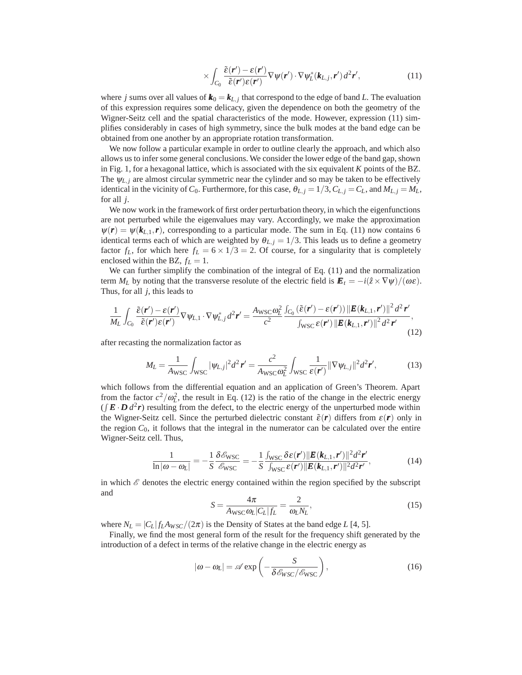$$
\times \int_{C_0} \frac{\tilde{\varepsilon}(\mathbf{r}') - \varepsilon(\mathbf{r}')}{\tilde{\varepsilon}(\mathbf{r}')\varepsilon(\mathbf{r}')} \nabla \psi(\mathbf{r}') \cdot \nabla \psi_L^*(\mathbf{k}_{L,j}, \mathbf{r}') d^2 \mathbf{r}',\tag{11}
$$

where *j* sums over all values of  $\mathbf{k}_0 = \mathbf{k}_{L,i}$  that correspond to the edge of band *L*. The evaluation of this expression requires some delicacy, given the dependence on both the geometry of the Wigner-Seitz cell and the spatial characteristics of the mode. However, expression (11) simplifies considerably in cases of high symmetry, since the bulk modes at the band edge can be obtained from one another by an appropriate rotation transformation.

We now follow a particular example in order to outline clearly the approach, and which also allows us to infer some general conclusions. We consider the lower edge of the band gap, shown in Fig. 1, for a hexagonal lattice, which is associated with the six equivalent *K* points of the BZ. The  $\Psi_{L,i}$  are almost circular symmetric near the cylinder and so may be taken to be effectively identical in the vicinity of  $C_0$ . Furthermore, for this case,  $\theta_{L,i} = 1/3$ ,  $C_{L,i} = C_L$ , and  $M_{L,i} = M_L$ , for all *j*.

We now work in the framework of first order perturbation theory, in which the eigenfunctions are not perturbed while the eigenvalues may vary. Accordingly, we make the approximation  $\psi(r) = \psi(k_{L,1}, r)$ , corresponding to a particular mode. The sum in Eq. (11) now contains 6 identical terms each of which are weighted by  $\theta_{L,i} = 1/3$ . This leads us to define a geometry factor  $f_L$ , for which here  $f_L = 6 \times 1/3 = 2$ . Of course, for a singularity that is completely enclosed within the BZ,  $f_L = 1$ .

We can further simplify the combination of the integral of Eq. (11) and the normalization term  $M_L$  by noting that the transverse resolute of the electric field is  $\mathbf{E}_t = -i(\hat{z} \times \nabla \psi)/(\omega \varepsilon)$ . Thus, for all *j*, this leads to

$$
\frac{1}{M_L} \int_{C_0} \frac{\tilde{\varepsilon}(\mathbf{r}') - \varepsilon(\mathbf{r}')}{\tilde{\varepsilon}(\mathbf{r}')\varepsilon(\mathbf{r}')} \nabla \psi_{L,1} \cdot \nabla \psi_{L,j}^* d^2 \mathbf{r}' = \frac{A_{\text{WSC}} \omega_L^2}{c^2} \frac{\int_{C_0} (\tilde{\varepsilon}(\mathbf{r}') - \varepsilon(\mathbf{r}')) \|\mathbf{E}(\mathbf{k}_{L,1}, \mathbf{r}')\|^2 d^2 \mathbf{r}'}{\int_{\text{WSC}} \varepsilon(\mathbf{r}') \|\mathbf{E}(\mathbf{k}_{L,1}, \mathbf{r}')\|^2 d^2 \mathbf{r}'} (12)
$$

after recasting the normalization factor as

$$
M_L = \frac{1}{A_{\text{WSC}}} \int_{\text{WSC}} |\psi_{L,j}|^2 d^2 \mathbf{r}' = \frac{c^2}{A_{\text{WSC}} \omega_L^2} \int_{\text{WSC}} \frac{1}{\varepsilon(\mathbf{r}')} ||\nabla \psi_{L,j}||^2 d^2 \mathbf{r}',\tag{13}
$$

which follows from the differential equation and an application of Green's Theorem. Apart from the factor  $c^2/\omega_L^2$ , the result in Eq. (12) is the ratio of the change in the electric energy  $(\int \mathbf{E} \cdot \mathbf{D} d^2 r)$  resulting from the defect, to the electric energy of the unperturbed mode within the Wigner-Seitz cell. Since the perturbed dielectric constant  $\tilde{\varepsilon}(\mathbf{r})$  differs from  $\varepsilon(\mathbf{r})$  only in the region  $C_0$ , it follows that the integral in the numerator can be calculated over the entire Wigner-Seitz cell. Thus,

$$
\frac{1}{\ln|\omega - \omega_L|} = -\frac{1}{S} \frac{\delta \mathscr{E}_{\text{WSC}}}{\mathscr{E}_{\text{WSC}}} = -\frac{1}{S} \frac{\int_{\text{WSC}} \delta \varepsilon(\mathbf{r}') ||\mathbf{E}(\mathbf{k}_{L,1}, \mathbf{r}') ||^2 d^2 \mathbf{r}'}{\int_{\text{WSC}} \varepsilon(\mathbf{r}') ||\mathbf{E}(\mathbf{k}_{L,1}, \mathbf{r}') ||^2 d^2 \mathbf{r}'},\tag{14}
$$

in which  $\mathscr E$  denotes the electric energy contained within the region specified by the subscript and

$$
S = \frac{4\pi}{A_{\rm WSC}\omega_L|C_L|f_L} = \frac{2}{\omega_L N_L},\tag{15}
$$

where  $N_L = |C_L| f_L A_{WSC} / (2\pi)$  is the Density of States at the band edge *L* [4, 5].

Finally, we find the most general form of the result for the frequency shift generated by the introduction of a defect in terms of the relative change in the electric energy as

$$
|\omega - \omega_L| = \mathscr{A} \exp\left(-\frac{S}{\delta \mathscr{E}_{WSC}/\mathscr{E}_{\text{WSC}}}\right),\tag{16}
$$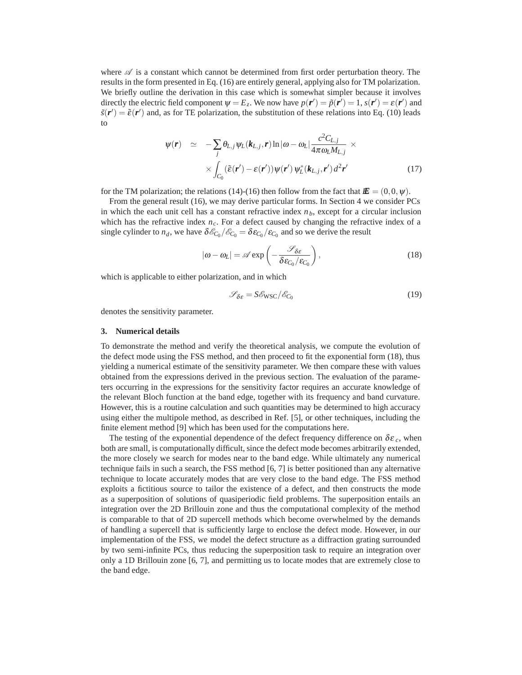where  $\mathscr A$  is a constant which cannot be determined from first order perturbation theory. The results in the form presented in Eq. (16) are entirely general, applying also for TM polarization. We briefly outline the derivation in this case which is somewhat simpler because it involves directly the electric field component  $\psi = E_z$ . We now have  $p(\mathbf{r}') = \tilde{p}(\mathbf{r}') = 1$ ,  $s(\mathbf{r}') = \varepsilon(\mathbf{r}')$  and  $\tilde{s}(\mathbf{r}') = \tilde{\epsilon}(\mathbf{r}')$  and, as for TE polarization, the substitution of these relations into Eq. (10) leads to

$$
\psi(\mathbf{r}) \simeq -\sum_{j} \theta_{L,j} \psi_{L}(\mathbf{k}_{L,j}, \mathbf{r}) \ln |\omega - \omega_{L}| \frac{c^{2} C_{L,j}}{4 \pi \omega_{L} M_{L,j}} \times \\ \times \int_{C_{0}} (\tilde{\varepsilon}(\mathbf{r}') - \varepsilon(\mathbf{r}')) \psi(\mathbf{r}') \psi_{L}^{*}(\mathbf{k}_{L,j}, \mathbf{r}') d^{2} \mathbf{r}' \qquad (17)
$$

for the TM polarization; the relations (14)-(16) then follow from the fact that  $E = (0,0,\psi)$ .

From the general result (16), we may derive particular forms. In Section 4 we consider PCs in which the each unit cell has a constant refractive index  $n<sub>b</sub>$ , except for a circular inclusion which has the refractive index  $n_c$ . For a defect caused by changing the refractive index of a single cylinder to  $n_d$ , we have  $\delta \mathcal{E}_{C_0} / \mathcal{E}_{C_0} = \delta \mathcal{E}_{C_0} / \mathcal{E}_{C_0}$  and so we derive the result

$$
|\omega - \omega_L| = \mathscr{A} \exp\left(-\frac{\mathscr{S}_{\delta \varepsilon}}{\delta \varepsilon_{C_0}/\varepsilon_{C_0}}\right),\tag{18}
$$

which is applicable to either polarization, and in which

$$
\mathcal{S}_{\delta \varepsilon} = S \mathcal{E}_{\text{WSC}} / \mathcal{E}_{C_0} \tag{19}
$$

denotes the sensitivity parameter.

#### **3. Numerical details**

To demonstrate the method and verify the theoretical analysis, we compute the evolution of the defect mode using the FSS method, and then proceed to fit the exponential form (18), thus yielding a numerical estimate of the sensitivity parameter. We then compare these with values obtained from the expressions derived in the previous section. The evaluation of the parameters occurring in the expressions for the sensitivity factor requires an accurate knowledge of the relevant Bloch function at the band edge, together with its frequency and band curvature. However, this is a routine calculation and such quantities may be determined to high accuracy using either the multipole method, as described in Ref. [5], or other techniques, including the finite element method [9] which has been used for the computations here.

The testing of the exponential dependence of the defect frequency difference on  $\delta \varepsilon_c$ , when both are small, is computationally difficult, since the defect mode becomes arbitrarily extended, the more closely we search for modes near to the band edge. While ultimately any numerical technique fails in such a search, the FSS method [6, 7] is better positioned than any alternative technique to locate accurately modes that are very close to the band edge. The FSS method exploits a fictitious source to tailor the existence of a defect, and then constructs the mode as a superposition of solutions of quasiperiodic field problems. The superposition entails an integration over the 2D Brillouin zone and thus the computational complexity of the method is comparable to that of 2D supercell methods which become overwhelmed by the demands of handling a supercell that is sufficiently large to enclose the defect mode. However, in our implementation of the FSS, we model the defect structure as a diffraction grating surrounded by two semi-infinite PCs, thus reducing the superposition task to require an integration over only a 1D Brillouin zone [6, 7], and permitting us to locate modes that are extremely close to the band edge.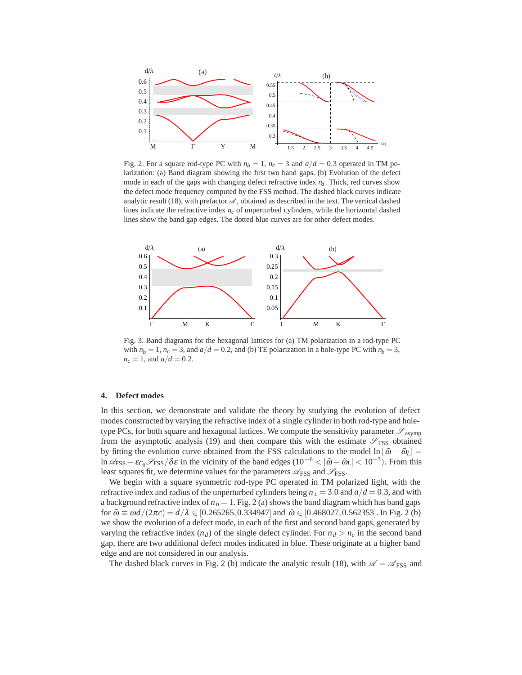

Fig. 2. For a square rod-type PC with  $n_b = 1$ ,  $n_c = 3$  and  $a/d = 0.3$  operated in TM polarization: (a) Band diagram showing the first two band gaps. (b) Evolution of the defect mode in each of the gaps with changing defect refractive index  $n_d$ . Thick, red curves show the defect mode frequency computed by the FSS method. The dashed black curves indicate analytic result (18), with prefactor  $\mathscr A$ , obtained as described in the text. The vertical dashed lines indicate the refractive index *nc* of unperturbed cylinders, while the horizontal dashed lines show the band gap edges. The dotted blue curves are for other defect modes.



Fig. 3. Band diagrams for the hexagonal lattices for (a) TM polarization in a rod-type PC with  $n_b = 1$ ,  $n_c = 3$ , and  $a/d = 0.2$ , and (b) TE polarization in a hole-type PC with  $n_b = 3$ ,  $n_c = 1$ , and  $a/d = 0.2$ .

#### **4. Defect modes**

In this section, we demonstrate and validate the theory by studying the evolution of defect modes constructed by varying the refractive index of a single cylinder in both rod-type and holetype PCs, for both square and hexagonal lattices. We compute the sensitivity parameter  $\mathscr{S}_{\text{asymp}}$ from the asymptotic analysis (19) and then compare this with the estimate  $\mathscr{S}_{\text{FSS}}$  obtained by fitting the evolution curve obtained from the FSS calculations to the model  $\ln|\tilde{\omega} - \tilde{\omega}_L|$ ln  $\mathscr{A}_{\text{FSS}} - \varepsilon_{C_0} \mathscr{S}_{\text{FSS}} / \delta \varepsilon$  in the vicinity of the band edges (10<sup>-6</sup> <  $|\tilde{\omega} - \tilde{\omega}_L|$  < 10<sup>-3</sup>). From this least squares fit, we determine values for the parameters  $\mathcal{A}_{\text{FSS}}$  and  $\mathcal{S}_{\text{FSS}}$ .

We begin with a square symmetric rod-type PC operated in TM polarized light, with the refractive index and radius of the unperturbed cylinders being  $n_c = 3.0$  and  $a/d = 0.3$ , and with a background refractive index of  $n_b = 1$ . Fig. 2 (a) shows the band diagram which has band gaps for  $\tilde{\omega} \equiv \omega d/(2\pi c) = d/\lambda \in [0.265265, 0.334947]$  and  $\tilde{\omega} \in [0.468027, 0.562353]$ . In Fig. 2 (b) we show the evolution of a defect mode, in each of the first and second band gaps, generated by varying the refractive index  $(n_d)$  of the single defect cylinder. For  $n_d > n_c$  in the second band gap, there are two additional defect modes indicated in blue. These originate at a higher band edge and are not considered in our analysis.

The dashed black curves in Fig. 2 (b) indicate the analytic result (18), with  $\mathscr{A} = \mathscr{A}_{\text{FSS}}$  and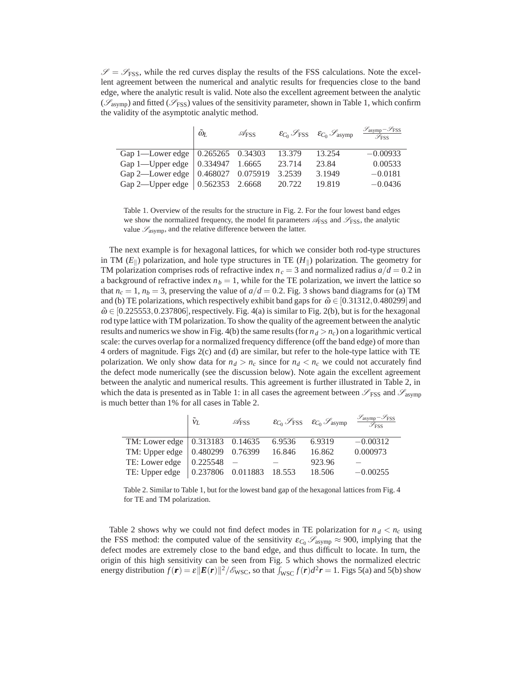$\mathscr{S} = \mathscr{S}_{\text{FSS}}$ , while the red curves display the results of the FSS calculations. Note the excellent agreement between the numerical and analytic results for frequencies close to the band edge, where the analytic result is valid. Note also the excellent agreement between the analytic (*S*asymp) and fitted (*S*FSS) values of the sensitivity parameter, shown in Table 1, which confirm the validity of the asymptotic analytic method.

|                                                | $\tilde{\omega}_L$ | $\mathscr{A}_{\textrm{FSS}}$ |        | $\varepsilon_{C_0}$ $\mathscr{S}_{\text{FSS}}$ $\varepsilon_{C_0}$ $\mathscr{S}_{\text{asymp}}$ | $\mathcal{S}_{asymp} - \mathcal{S}_{FSS}$<br>$\overline{\mathscr{S}_{\rm FSS}}$ |
|------------------------------------------------|--------------------|------------------------------|--------|-------------------------------------------------------------------------------------------------|---------------------------------------------------------------------------------|
| Gap 1—Lower edge   0.265265 0.34303            |                    |                              | 13.379 | 13.254                                                                                          | $-0.00933$                                                                      |
| Gap 1—Upper edge $\vert 0.334947 \vert 1.6665$ |                    |                              | 23.714 | 23.84                                                                                           | 0.00533                                                                         |
| Gap 2—Lower edge   0.468027 0.075919           |                    |                              | 3.2539 | 3.1949                                                                                          | $-0.0181$                                                                       |
| Gap 2—Upper edge $(0.562353 \quad 2.6668)$     |                    |                              | 20.722 | 19.819                                                                                          | $-0.0436$                                                                       |

Table 1. Overview of the results for the structure in Fig. 2. For the four lowest band edges we show the normalized frequency, the model fit parameters  $\mathcal{A}_{\text{FSS}}$  and  $\mathcal{S}_{\text{FSS}}$ , the analytic value *S*asymp, and the relative difference between the latter.

The next example is for hexagonal lattices, for which we consider both rod-type structures in TM  $(E_{\parallel})$  polarization, and hole type structures in TE  $(H_{\parallel})$  polarization. The geometry for TM polarization comprises rods of refractive index  $n_c = 3$  and normalized radius  $a/d = 0.2$  in a background of refractive index  $n_b = 1$ , while for the TE polarization, we invert the lattice so that  $n_c = 1$ ,  $n_b = 3$ , preserving the value of  $a/d = 0.2$ . Fig. 3 shows band diagrams for (a) TM and (b) TE polarizations, which respectively exhibit band gaps for  $\tilde{\omega} \in [0.31312, 0.480299]$  and  $\tilde{\omega} \in [0.225553, 0.237806]$ , respectively. Fig. 4(a) is similar to Fig. 2(b), but is for the hexagonal rod type lattice with TM polarization. To show the quality of the agreement between the analytic results and numerics we show in Fig. 4(b) the same results (for  $n_d > n_c$ ) on a logarithmic vertical scale: the curves overlap for a normalized frequency difference (off the band edge) of more than 4 orders of magnitude. Figs 2(c) and (d) are similar, but refer to the hole-type lattice with TE polarization. We only show data for  $n_d > n_c$  since for  $n_d < n_c$  we could not accurately find the defect mode numerically (see the discussion below). Note again the excellent agreement between the analytic and numerical results. This agreement is further illustrated in Table 2, in which the data is presented as in Table 1: in all cases the agreement between  $\mathscr{S}_{\text{FSS}}$  and  $\mathscr{S}_{\text{asymp}}$ is much better than 1% for all cases in Table 2.

|                                           | $\tilde{V}_L$ | $\mathscr{A}_{\textrm{FSS}}$ | $\mathcal{E}_{C_0}$ $\mathcal{S}_{\text{FSS}}$ $\mathcal{E}_{C_0}$ $\mathcal{S}_{\text{asymp}}$ | $\frac{\mathcal{S}_{\text{asymp}}-\mathcal{S}_{\text{FSS}}}{\mathcal{S}_{\text{FSS}}}$ |
|-------------------------------------------|---------------|------------------------------|-------------------------------------------------------------------------------------------------|----------------------------------------------------------------------------------------|
| TM: Lower edge   0.313183 0.14635 6.9536  |               |                              | 6.9319                                                                                          | $-0.00312$                                                                             |
| TM: Upper edge   0.480299 0.76399 16.846  |               |                              | 16.862                                                                                          | 0.000973                                                                               |
| TE: Lower edge $\vert$ 0.225548 –         |               |                              | 923.96                                                                                          |                                                                                        |
| TE: Upper edge   0.237806 0.011883 18.553 |               |                              | 18.506                                                                                          | $-0.00255$                                                                             |

Table 2. Similar to Table 1, but for the lowest band gap of the hexagonal lattices from Fig. 4 for TE and TM polarization.

Table 2 shows why we could not find defect modes in TE polarization for  $n_d < n_c$  using the FSS method: the computed value of the sensitivity  $\varepsilon_{C_0}$   $\mathscr{S}_{\text{asymp}} \approx 900$ , implying that the defect modes are extremely close to the band edge, and thus difficult to locate. In turn, the origin of this high sensitivity can be seen from Fig. 5 which shows the normalized electric energy distribution  $f(\mathbf{r}) = \varepsilon \|\mathbf{E}(\mathbf{r})\|^2/\mathscr{E}_{\text{WSC}}$ , so that  $\int_{\text{WSC}} f(\mathbf{r}) d^2 \mathbf{r} = 1$ . Figs 5(a) and 5(b) show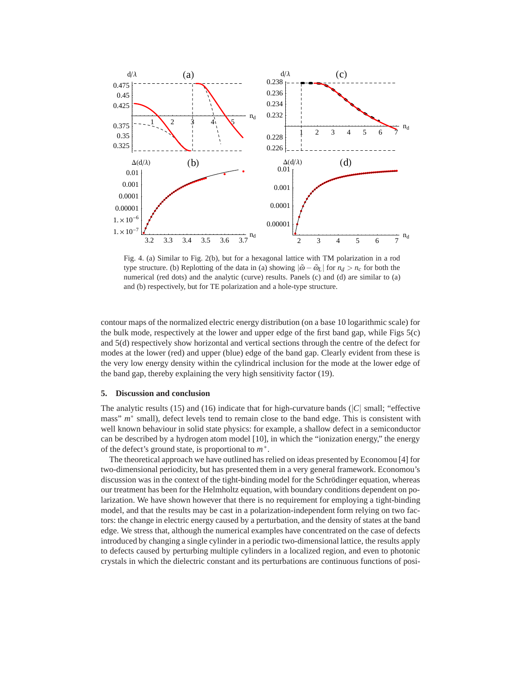

Fig. 4. (a) Similar to Fig. 2(b), but for a hexagonal lattice with TM polarization in a rod type structure. (b) Replotting of the data in (a) showing  $|\tilde{\omega} - \tilde{\omega}_L|$  for  $n_d > n_c$  for both the numerical (red dots) and the analytic (curve) results. Panels (c) and (d) are similar to (a) and (b) respectively, but for TE polarization and a hole-type structure.

contour maps of the normalized electric energy distribution (on a base 10 logarithmic scale) for the bulk mode, respectively at the lower and upper edge of the first band gap, while Figs 5(c) and 5(d) respectively show horizontal and vertical sections through the centre of the defect for modes at the lower (red) and upper (blue) edge of the band gap. Clearly evident from these is the very low energy density within the cylindrical inclusion for the mode at the lower edge of the band gap, thereby explaining the very high sensitivity factor (19).

## **5. Discussion and conclusion**

The analytic results (15) and (16) indicate that for high-curvature bands (|*C*| small; "effective mass" *m*<sup>∗</sup> small), defect levels tend to remain close to the band edge. This is consistent with well known behaviour in solid state physics: for example, a shallow defect in a semiconductor can be described by a hydrogen atom model [10], in which the "ionization energy," the energy of the defect's ground state, is proportional to *m*∗.

The theoretical approach we have outlined has relied on ideas presented by Economou [4] for two-dimensional periodicity, but has presented them in a very general framework. Economou's discussion was in the context of the tight-binding model for the Schrödinger equation, whereas our treatment has been for the Helmholtz equation, with boundary conditions dependent on polarization. We have shown however that there is no requirement for employing a tight-binding model, and that the results may be cast in a polarization-independent form relying on two factors: the change in electric energy caused by a perturbation, and the density of states at the band edge. We stress that, although the numerical examples have concentrated on the case of defects introduced by changing a single cylinder in a periodic two-dimensional lattice, the results apply to defects caused by perturbing multiple cylinders in a localized region, and even to photonic crystals in which the dielectric constant and its perturbations are continuous functions of posi-